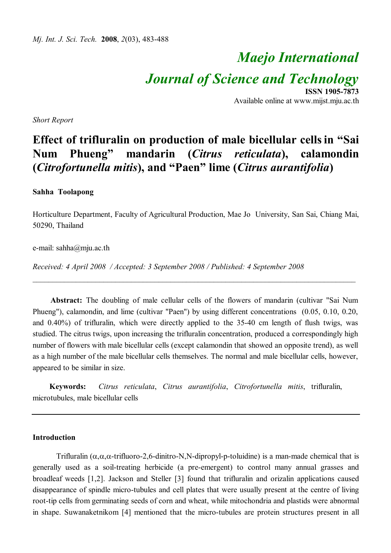# *Maejo International Journal of Science and Technology*

**ISSN 1905-7873** Available online at www.mijst.mju.ac.th

*Short Report*

## **Effect of trifluralin on production of male bicellular cellsin "Sai Num Phueng" mandarin (***Citrus reticulata***), calamondin (***Citrofortunella mitis***), and "Paen" lime (***Citrus aurantifolia***)**

#### **Sahha Toolapong**

Horticulture Department, Faculty of Agricultural Production, Mae Jo University, San Sai, Chiang Mai, 50290, Thailand

e-mail: sahha@mju.ac.th

*Received: 4 April 2008 / Accepted: 3 September 2008 / Published: 4 September 2008*

**Abstract:** The doubling of male cellular cells of the flowers of mandarin (cultivar "Sai Num Phueng"), calamondin, and lime (cultivar "Paen") by using different concentrations (0.05, 0.10, 0.20, and 0.40%) of trifluralin, which were directly applied to the 35-40 cm length of flush twigs, was studied. The citrus twigs, upon increasing the trifluralin concentration, produced a correspondingly high number of flowers with male bicellular cells (except calamondin that showed an opposite trend), as well as a high number of the male bicellular cells themselves. The normal and male bicellular cells, however, appeared to be similar in size.

\_\_\_\_\_\_\_\_\_\_\_\_\_\_\_\_\_\_\_\_\_\_\_\_\_\_\_\_\_\_\_\_\_\_\_\_\_\_\_\_\_\_\_\_\_\_\_\_\_\_\_\_\_\_\_\_\_\_\_\_\_\_\_\_\_\_\_\_\_\_\_\_\_\_\_\_\_\_\_\_\_\_

**Keywords:** *Citrus reticulata*, *Citrus aurantifolia*, *Citrofortunella mitis*, trifluralin, microtubules, male bicellular cells

#### **Introduction**

Trifluralin  $(\alpha, \alpha, \alpha$ -trifluoro-2,6-dinitro-N,N-dipropyl-p-toluidine) is a man-made chemical that is generally used as a soil-treating herbicide (a pre-emergent) to control many annual grasses and broadleaf weeds [1,2]. Jackson and Steller [3] found that trifluralin and orizalin applications caused disappearance of spindle micro-tubules and cell plates that were usually present at the centre of living root-tip cells from germinating seeds of corn and wheat, while mitochondria and plastids were abnormal in shape. Suwanaketnikom [4] mentioned that the micro-tubules are protein structures present in all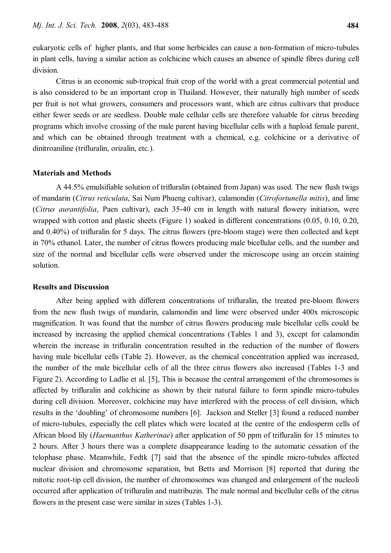eukaryotic cells of higher plants, and that some herbicides can cause a non-formation of micro-tubules in plant cells, having a similar action as colchicine which causes an absence of spindle fibres during cell division.

Citrus is an economic sub-tropical fruit crop of the world with a great commercial potential and is also considered to be an important crop in Thailand. However, their naturally high number of seeds per fruit is not what growers, consumers and processors want, which are citrus cultivars that produce either fewer seeds or are seedless. Double male cellular cells are therefore valuable for citrus breeding programs which involve crossing of the male parent having bicellular cells with a haploid female parent, and which can be obtained through treatment with a chemical, e.g. colchicine or a derivative of dinitroaniline (trifluralin, orizalin, etc.).

#### **Materials and Methods**

A 44.5% emulsifiable solution of trifluralin (obtained from Japan) was used. The new flush twigs of mandarin (*Citrus reticulata*, Sai Num Phueng cultivar), calamondin (*Citrofortunella mitis*), and lime (*Citrus aurantifolia*, Paen cultivar), each 35-40 cm in length with natural flowery initiation, were wrapped with cotton and plastic sheets (Figure 1) soaked in different concentrations (0.05, 0.10, 0.20, and 0.40%) of trifluralin for 5 days. The citrus flowers (pre-bloom stage) were then collected and kept in 70% ethanol. Later, the number of citrus flowers producing male bicellular cells, and the number and size of the normal and bicellular cells were observed under the microscope using an orcein staining solution.

#### **Results and Discussion**

After being applied with different concentrations of trifluralin, the treated pre-bloom flowers from the new flush twigs of mandarin, calamondin and lime were observed under 400x microscopic magnification. It was found that the number of citrus flowers producing male bicellular cells could be increased by increasing the applied chemical concentrations (Tables 1 and 3), except for calamondin wherein the increase in trifluralin concentration resulted in the reduction of the number of flowers having male bicellular cells (Table 2). However, as the chemical concentration applied was increased, the number of the male bicellular cells of all the three citrus flowers also increased (Tables 1-3 and Figure 2). According to Ladlie et al. [5], This is because the central arrangement of the chromosomes is affected by trifluralin and colchicine as shown by their natural failure to form spindle micro-tubules during cell division. Moreover, colchicine may have interfered with the process of cell division, which results in the 'doubling' of chromosome numbers [6]. Jackson and Steller [3] found a reduced number of micro-tubules, especially the cell plates which were located at the centre of the endosperm cells of African blood lily (*Haemanthus Katherinae*) after application of 50 ppm of trifluralin for 15 minutes to 2 hours. After 3 hours there was a complete disappearance leading to the automatic cessation of the telophase phase. Meanwhile, Fedtk [7] said that the absence of the spindle micro-tubules affected nuclear division and chromosome separation, but Betts and Morrison [8] reported that during the mitotic root-tip cell division, the number of chromosomes was changed and enlargement of the nucleoli occurred after application of trifluralin and matribuzin. The male normal and bicellular cells of the citrus flowers in the present case were similar in sizes (Tables 1-3).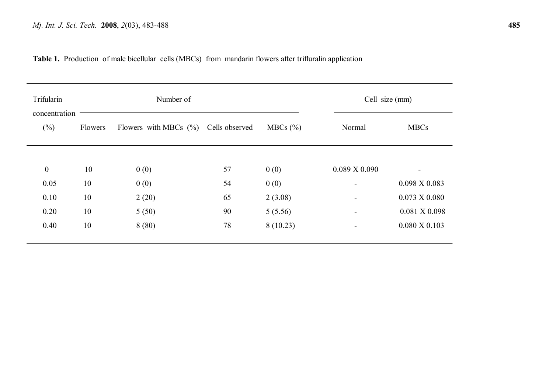**Table 1.** Production of male bicellular cells (MBCs) from mandarin flowers after trifluralin application

| Trifularin              | Number of |                                         |    |                        | Cell size (mm)           |                          |
|-------------------------|-----------|-----------------------------------------|----|------------------------|--------------------------|--------------------------|
| concentration<br>$(\%)$ | Flowers   | Flowers with MBCs $(\%)$ Cells observed |    | $MBCs$ $(\frac{6}{6})$ | Normal                   | <b>MBCs</b>              |
| $\boldsymbol{0}$        | 10        | 0(0)                                    | 57 | 0(0)                   | $0.089 \text{ X } 0.090$ | ٠.                       |
| 0.05                    | 10        | 0(0)                                    | 54 | 0(0)                   |                          | $0.098 \text{ X } 0.083$ |
| 0.10                    | 10        | 2(20)                                   | 65 | 2(3.08)                | $\blacksquare$           | $0.073 \times 0.080$     |
| 0.20                    | 10        | 5(50)                                   | 90 | 5(5.56)                |                          | $0.081$ X $0.098$        |
| 0.40                    | 10        | 8(80)                                   | 78 | 8(10.23)               | $\blacksquare$           | $0.080 \times 0.103$     |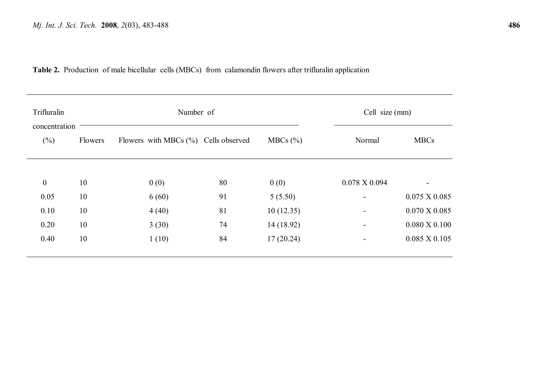**Table 2.** Production of male bicellular cells (MBCs) from calamondin flowers after trifluralin application

| Trifluralin             |         | Number of                               |    |              |                          | Cell size (mm)           |  |
|-------------------------|---------|-----------------------------------------|----|--------------|--------------------------|--------------------------|--|
| concentration<br>$(\%)$ | Flowers | Flowers with MBCs $(\%)$ Cells observed |    | MBCs $(\% )$ | Normal                   | <b>MBCs</b>              |  |
| $\boldsymbol{0}$        | 10      | 0(0)                                    | 80 | 0(0)         | $0.078 \text{ X } 0.094$ |                          |  |
| 0.05                    | 10      | 6(60)                                   | 91 | 5(5.50)      |                          | $0.075 \times 0.085$     |  |
| 0.10                    | 10      | 4(40)                                   | 81 | 10(12.35)    | $\blacksquare$           | $0.070 \text{ X } 0.085$ |  |
| 0.20                    | 10      | 3(30)                                   | 74 | 14 (18.92)   |                          | $0.080 \times 0.100$     |  |
| 0.40                    | 10      | 1(10)                                   | 84 | 17(20.24)    |                          | $0.085 \times 0.105$     |  |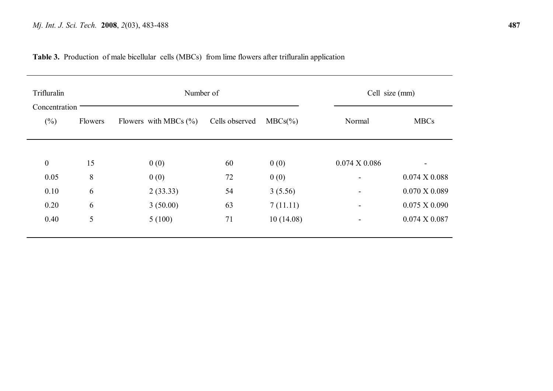### **Table 3.** Production of male bicellular cells (MBCs) from lime flowers after trifluralin application

| Trifluralin             |         | Number of                 |                |             |                          | Cell size (mm)       |  |
|-------------------------|---------|---------------------------|----------------|-------------|--------------------------|----------------------|--|
| Concentration<br>$(\%)$ | Flowers | Flowers with MBCs $(\% )$ | Cells observed | $MBCs(\% )$ | Normal                   | <b>MBCs</b>          |  |
|                         |         |                           |                |             |                          |                      |  |
| $\boldsymbol{0}$        | 15      | 0(0)                      | 60             | 0(0)        | $0.074 \times 0.086$     |                      |  |
| 0.05                    | 8       | 0(0)                      | 72             | 0(0)        | $\blacksquare$           | $0.074 \times 0.088$ |  |
| 0.10                    | 6       | 2(33.33)                  | 54             | 3(5.56)     | $\blacksquare$           | $0.070$ X 0.089      |  |
| 0.20                    | 6       | 3(50.00)                  | 63             | 7(11.11)    | $\overline{\phantom{0}}$ | $0.075 \times 0.090$ |  |
| 0.40                    | 5       | 5(100)                    | 71             | 10(14.08)   | $\blacksquare$           | $0.074 \times 0.087$ |  |
|                         |         |                           |                |             |                          |                      |  |